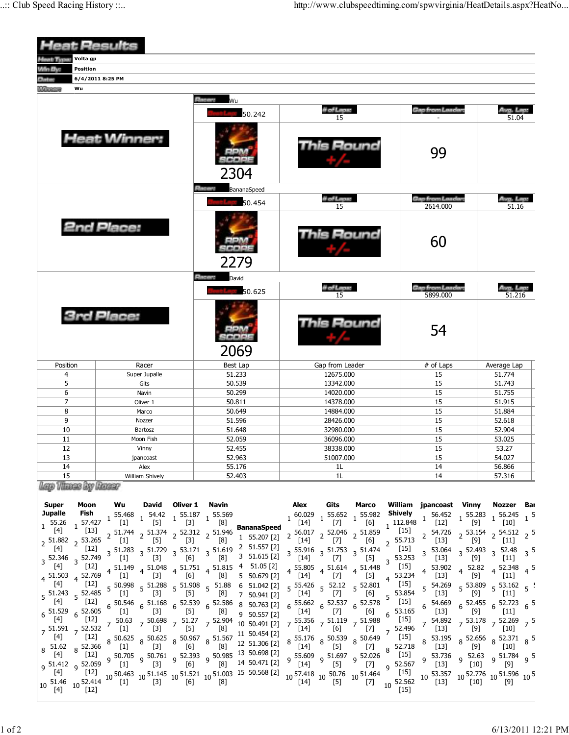| <b>Heat Results</b>                                                                                                                                                                                                                                                                                                                                                                                                                                                                                                                                                                                                                                                                                                                               |                                                                                                                                                                                                                                                                                         |                                                                                                                                                                                                                                                                        |                                                                                                                                                                                                                                                                                            |                                                                                                                                                                                                                                   |                                                                                                                                             |  |
|---------------------------------------------------------------------------------------------------------------------------------------------------------------------------------------------------------------------------------------------------------------------------------------------------------------------------------------------------------------------------------------------------------------------------------------------------------------------------------------------------------------------------------------------------------------------------------------------------------------------------------------------------------------------------------------------------------------------------------------------------|-----------------------------------------------------------------------------------------------------------------------------------------------------------------------------------------------------------------------------------------------------------------------------------------|------------------------------------------------------------------------------------------------------------------------------------------------------------------------------------------------------------------------------------------------------------------------|--------------------------------------------------------------------------------------------------------------------------------------------------------------------------------------------------------------------------------------------------------------------------------------------|-----------------------------------------------------------------------------------------------------------------------------------------------------------------------------------------------------------------------------------|---------------------------------------------------------------------------------------------------------------------------------------------|--|
| Volta gp<br>foat Type:                                                                                                                                                                                                                                                                                                                                                                                                                                                                                                                                                                                                                                                                                                                            |                                                                                                                                                                                                                                                                                         |                                                                                                                                                                                                                                                                        |                                                                                                                                                                                                                                                                                            |                                                                                                                                                                                                                                   |                                                                                                                                             |  |
| Win By<br><b>Position</b>                                                                                                                                                                                                                                                                                                                                                                                                                                                                                                                                                                                                                                                                                                                         |                                                                                                                                                                                                                                                                                         |                                                                                                                                                                                                                                                                        |                                                                                                                                                                                                                                                                                            |                                                                                                                                                                                                                                   |                                                                                                                                             |  |
| <b>Dinkov</b>                                                                                                                                                                                                                                                                                                                                                                                                                                                                                                                                                                                                                                                                                                                                     | 6/4/2011 8:25 PM                                                                                                                                                                                                                                                                        |                                                                                                                                                                                                                                                                        |                                                                                                                                                                                                                                                                                            |                                                                                                                                                                                                                                   |                                                                                                                                             |  |
| Wu<br><b><i><u><i><u>RADOCTOR</u></i></u></i></b>                                                                                                                                                                                                                                                                                                                                                                                                                                                                                                                                                                                                                                                                                                 |                                                                                                                                                                                                                                                                                         |                                                                                                                                                                                                                                                                        |                                                                                                                                                                                                                                                                                            |                                                                                                                                                                                                                                   |                                                                                                                                             |  |
|                                                                                                                                                                                                                                                                                                                                                                                                                                                                                                                                                                                                                                                                                                                                                   |                                                                                                                                                                                                                                                                                         | <b>Reserve</b><br>Wu                                                                                                                                                                                                                                                   |                                                                                                                                                                                                                                                                                            |                                                                                                                                                                                                                                   |                                                                                                                                             |  |
|                                                                                                                                                                                                                                                                                                                                                                                                                                                                                                                                                                                                                                                                                                                                                   |                                                                                                                                                                                                                                                                                         | 50.242                                                                                                                                                                                                                                                                 | # of Laps:<br>15                                                                                                                                                                                                                                                                           | Gap from Laadan                                                                                                                                                                                                                   | Avg. Lep.<br>51.04                                                                                                                          |  |
|                                                                                                                                                                                                                                                                                                                                                                                                                                                                                                                                                                                                                                                                                                                                                   | <b>Heat Winner:</b>                                                                                                                                                                                                                                                                     | 2304                                                                                                                                                                                                                                                                   | This Round                                                                                                                                                                                                                                                                                 | 99                                                                                                                                                                                                                                |                                                                                                                                             |  |
|                                                                                                                                                                                                                                                                                                                                                                                                                                                                                                                                                                                                                                                                                                                                                   |                                                                                                                                                                                                                                                                                         | <b>Placers</b><br>BananaSpeed                                                                                                                                                                                                                                          |                                                                                                                                                                                                                                                                                            |                                                                                                                                                                                                                                   |                                                                                                                                             |  |
|                                                                                                                                                                                                                                                                                                                                                                                                                                                                                                                                                                                                                                                                                                                                                   |                                                                                                                                                                                                                                                                                         | 50.454                                                                                                                                                                                                                                                                 | # of Laps:<br>15                                                                                                                                                                                                                                                                           | <b>Gap from Leaders</b><br>2614.000                                                                                                                                                                                               | Avg. Lap:<br>51.16                                                                                                                          |  |
|                                                                                                                                                                                                                                                                                                                                                                                                                                                                                                                                                                                                                                                                                                                                                   | <b>2nd Place:</b>                                                                                                                                                                                                                                                                       | 2279                                                                                                                                                                                                                                                                   | Round                                                                                                                                                                                                                                                                                      | 60                                                                                                                                                                                                                                |                                                                                                                                             |  |
|                                                                                                                                                                                                                                                                                                                                                                                                                                                                                                                                                                                                                                                                                                                                                   |                                                                                                                                                                                                                                                                                         | Elizabus<br>David                                                                                                                                                                                                                                                      |                                                                                                                                                                                                                                                                                            |                                                                                                                                                                                                                                   |                                                                                                                                             |  |
|                                                                                                                                                                                                                                                                                                                                                                                                                                                                                                                                                                                                                                                                                                                                                   |                                                                                                                                                                                                                                                                                         | 50.625                                                                                                                                                                                                                                                                 | # of Laps:<br>15                                                                                                                                                                                                                                                                           | <b>Gap from Leader:</b><br>5899.000                                                                                                                                                                                               | Avg. Lap:<br>51.216                                                                                                                         |  |
|                                                                                                                                                                                                                                                                                                                                                                                                                                                                                                                                                                                                                                                                                                                                                   | <b>3rd Place:</b>                                                                                                                                                                                                                                                                       | 2069                                                                                                                                                                                                                                                                   | is Round                                                                                                                                                                                                                                                                                   | 54                                                                                                                                                                                                                                |                                                                                                                                             |  |
|                                                                                                                                                                                                                                                                                                                                                                                                                                                                                                                                                                                                                                                                                                                                                   |                                                                                                                                                                                                                                                                                         |                                                                                                                                                                                                                                                                        |                                                                                                                                                                                                                                                                                            |                                                                                                                                                                                                                                   |                                                                                                                                             |  |
| Position                                                                                                                                                                                                                                                                                                                                                                                                                                                                                                                                                                                                                                                                                                                                          | Racer                                                                                                                                                                                                                                                                                   | Best Lap                                                                                                                                                                                                                                                               | Gap from Leader                                                                                                                                                                                                                                                                            | # of Laps                                                                                                                                                                                                                         | Average Lap                                                                                                                                 |  |
| 4<br>5                                                                                                                                                                                                                                                                                                                                                                                                                                                                                                                                                                                                                                                                                                                                            | Super Jupalle                                                                                                                                                                                                                                                                           | 51.233<br>50.539                                                                                                                                                                                                                                                       | 12675.000<br>13342.000                                                                                                                                                                                                                                                                     | 15<br>15                                                                                                                                                                                                                          | 51.774<br>51.743                                                                                                                            |  |
| 6                                                                                                                                                                                                                                                                                                                                                                                                                                                                                                                                                                                                                                                                                                                                                 | Gits<br>Navin                                                                                                                                                                                                                                                                           | 50.299                                                                                                                                                                                                                                                                 | 14020.000                                                                                                                                                                                                                                                                                  | 15                                                                                                                                                                                                                                | 51.755                                                                                                                                      |  |
| $\overline{7}$                                                                                                                                                                                                                                                                                                                                                                                                                                                                                                                                                                                                                                                                                                                                    | Oliver 1                                                                                                                                                                                                                                                                                | 50.811                                                                                                                                                                                                                                                                 | 14378.000                                                                                                                                                                                                                                                                                  | 15                                                                                                                                                                                                                                | 51.915                                                                                                                                      |  |
| 8                                                                                                                                                                                                                                                                                                                                                                                                                                                                                                                                                                                                                                                                                                                                                 | Marco                                                                                                                                                                                                                                                                                   | 50.649                                                                                                                                                                                                                                                                 | 14884.000                                                                                                                                                                                                                                                                                  | 15                                                                                                                                                                                                                                | 51.884                                                                                                                                      |  |
| 9                                                                                                                                                                                                                                                                                                                                                                                                                                                                                                                                                                                                                                                                                                                                                 | Nozzer                                                                                                                                                                                                                                                                                  | 51.596                                                                                                                                                                                                                                                                 | 28426.000                                                                                                                                                                                                                                                                                  | 15                                                                                                                                                                                                                                | 52.618                                                                                                                                      |  |
| 10                                                                                                                                                                                                                                                                                                                                                                                                                                                                                                                                                                                                                                                                                                                                                | Bartosz                                                                                                                                                                                                                                                                                 | 51.648                                                                                                                                                                                                                                                                 | 32980.000                                                                                                                                                                                                                                                                                  | 15                                                                                                                                                                                                                                | 52.904                                                                                                                                      |  |
| 11                                                                                                                                                                                                                                                                                                                                                                                                                                                                                                                                                                                                                                                                                                                                                | Moon Fish                                                                                                                                                                                                                                                                               | 52.059                                                                                                                                                                                                                                                                 | 36096.000                                                                                                                                                                                                                                                                                  | 15                                                                                                                                                                                                                                | 53.025                                                                                                                                      |  |
| 12                                                                                                                                                                                                                                                                                                                                                                                                                                                                                                                                                                                                                                                                                                                                                | Vinny                                                                                                                                                                                                                                                                                   | 52.455                                                                                                                                                                                                                                                                 | 38338.000                                                                                                                                                                                                                                                                                  | 15                                                                                                                                                                                                                                | 53.27                                                                                                                                       |  |
| 13                                                                                                                                                                                                                                                                                                                                                                                                                                                                                                                                                                                                                                                                                                                                                | jpancoast                                                                                                                                                                                                                                                                               | 52.963                                                                                                                                                                                                                                                                 | 51007.000                                                                                                                                                                                                                                                                                  | 15                                                                                                                                                                                                                                | 54.027<br>56.866                                                                                                                            |  |
| 14                                                                                                                                                                                                                                                                                                                                                                                                                                                                                                                                                                                                                                                                                                                                                | Alex                                                                                                                                                                                                                                                                                    | 55.176                                                                                                                                                                                                                                                                 | 1L                                                                                                                                                                                                                                                                                         | 14                                                                                                                                                                                                                                |                                                                                                                                             |  |
| 15<br>William Shively                                                                                                                                                                                                                                                                                                                                                                                                                                                                                                                                                                                                                                                                                                                             |                                                                                                                                                                                                                                                                                         | 52.403                                                                                                                                                                                                                                                                 | 1L                                                                                                                                                                                                                                                                                         | 14                                                                                                                                                                                                                                | 57.316                                                                                                                                      |  |
| lego Vitanas iko Hanaar                                                                                                                                                                                                                                                                                                                                                                                                                                                                                                                                                                                                                                                                                                                           |                                                                                                                                                                                                                                                                                         |                                                                                                                                                                                                                                                                        |                                                                                                                                                                                                                                                                                            |                                                                                                                                                                                                                                   |                                                                                                                                             |  |
| <b>Super</b><br>Moon<br><b>Jupalle</b><br>Fish<br>$1^{55.26}$<br>57.427<br>[4]<br>$[13]$<br>53.265<br>$2^{51.882}$<br>$[4]$<br>$[12]$<br>$3\frac{52.346}{52}$ 3 52.749<br>$[4] % \begin{center} \includegraphics[width=\linewidth]{imagesSupplemental/Imetad-Architecture.png} \end{center} % \caption { % \textit{DefNet} and { \textit{DefNet}~Permitian} \textit{DefNet} and { \textit{DefNet}~Permitian} \textit{DefNet} and { \textit{DefNet}~Permitian} \textit{DefNet} and { \textit{DefNet}~Permitian} \textit{DefNet} and { \textit{DefNet}~Permitian} \textit{DefNet} and { \textit{DefNet}~Permitian} \textit{DefNet} and { \textit{DefNet}~Permitian} \textit{DefNet} and { \textit{DefNet}~Permitian} \textit{DefNet} and { \textit$ | Wu<br>David<br>Oliver 1<br>55.468<br>54.42 1 55.187 1 55.569<br>$[5]$<br>$[3]$<br>$[1]$<br>51.744 $\frac{1}{2}$ 51.374 $\frac{1}{2}$ 52.312 $\frac{1}{2}$ 51.946<br>$[3]$<br>$[5]$<br>$[1]$<br>$3^{53.171}$<br>51.283<br>3 51.729<br>$[3]$<br>[6]<br>$[1]$<br>$[12]$<br>51.149 4 51.048 | Navin<br>[8]<br><b>BananaSpeed</b><br>1 55.207 [2]<br>$[8]$<br>2 51.557 [2]<br>3 51.619<br>3 51.615 [2]<br>[8]<br>$4\begin{array}{cc} 51.751 \\ 161 \end{array}$ $4\begin{array}{cc} 51.815 \\ 101 \end{array}$ $\begin{array}{cc} 4 & 51.05 \\ 1 & 51.05 \end{array}$ | Alex<br>Gits<br>Marco<br>$1, 60.029$ $1, 55.652$ $1, 55.982$<br>[14]<br>$[7]$<br>[6]<br>2<br>$[7]$<br>$[14]$<br>[6]<br>$\overline{2}$<br>$55.916 \t3 \t51.753$<br>3 51.474<br>3<br>$[5]$<br>$[14]$<br>$[7]$<br>$\mathbf{3}$<br>$4\begin{array}{cc} 51.614 & 51.448 \\ -22 & 4 \end{array}$ | William jpancoast Vinny<br><b>Shively</b><br>56.452<br>155.283<br>$1^{112.848}$<br>$[12]$<br>[9]<br>[15]<br>54.726<br>55.713<br>$[13]$<br>[9]<br>$[15]$<br>53.064<br>3 52.493<br>53.253<br>[9]<br>$[13]$<br>$[15]$<br>$4^{52.82}$ | Nozzer Bar<br>$1\,56.245\,1\,5$<br>$[10]$<br>$2^5$ 53.154 $2^5$ 54.512 $2^5$<br>$[11]$<br>52.48<br>$3^5$<br>$[11]$<br>$4^{52.348}$<br>$4^5$ |  |

4 51.503 4 52.769 [4]  $5\frac{51.243}{5}$ [4]  $6\frac{51.529}{541}$ [4] 7 <sup>51.591</sup> [4] 8 51.62<br>8 LAT [4] 51.412 و<br>--<sup>11</sup> [4] <sup>10</sup> 51.46 [4]

[12]  $5\frac{52.485}{5}$ [12]  $6\frac{52.605}{51.21}$ [12] 7<sup>52.532</sup> [12] 8<sup>52.366</sup> [12] 9<sup>52.059</sup> [12]  $10\frac{52.414}{51.21}$ [12]

 $5\frac{50.998}{5}$ 

 $6\begin{array}{l} 50.546 \ \text{F11} \end{array}$ [1] 7 50.63<br>7 511 [1] 8 50.625<br><sup>50.625</sup> [1] 9 <sup>50.705</sup> [1]

[1] 5 51.288

 $6\frac{51.168}{521}$ [3]  $7\frac{50.698}{521}$ [3] 8<sup>50.625</sup> [3] 9<sup>50.761</sup> [3]

10 <sup>50.463</sup> 10 <sup>51.145</sup> 10 <sup>51.521</sup> 10 <sup>51.003</sup><br>[1] [3] [6] [6] [8]

[3] 5 51.908

6<sup>52.539</sup> [5] 7 51.27<br>CEL [5] 8 50.967<br>8 rea [6] 9<sup>52.393</sup> [6]

[5] 5 51.88

[8] [8]  $6\frac{52.586}{52.58}$ [8] 7 52.904 [8] 8<sup>51.567</sup> [8] 9<sup>50.985</sup> [8]

5 50.679 [2] 6 51.042 [2] 6 51.042 [2] 5 55.426<br>7 50.941 [2] [14]

8 50.763 [2] 9 50.557 [2] 10 50.491 [2] 11 50.454 [2] 12 51.306 [2] 13 50.698 [2] 14 50.471 [2]

15 50.568 [2] <sup>10</sup> 57.418 [14] <sup>10</sup> 50.76 [5] <sup>10</sup> 51.464 [7]

 $6\frac{55.662}{51.41}$ [14] 7 55.356<br>7 51.41 [14] 8 55.176<br><sup>8</sup> 51.41 [14] 9<sup>55.609</sup> [14]

[14] 5 52.12

6<sup>52.537</sup> [7] 7 51.119<br>Ca [6] 8 <sup>50.539</sup> [5] 9 <sup>51.697</sup> [5]

[7] 5 52.801

[5] [6]  $6\frac{52.578}{551}$ [6] 7<sup>51.988</sup> [7] 8<sup>50.649</sup> [7] 52.026<br>---[7]

4 53.234<br>f<sub>1E1</sub> [15]  $5\frac{53.854}{5.551}$ [15]  $\begin{bmatrix} 15 \\ 53.165 \end{bmatrix}$  6 54.669<br>6 53.165 6 [13] [15] 7 52.496<br>T151 [15] 8 52.718<br><sup>8</sup> 51.51 [15]

5 54.269 [13]

[13]

[13] 8 53.195

9<sup>53.736</sup>

[13] 8 52.656

3.736 52.63<br>[10] [10]

7 54.892 7 53.178 7 52.269 7 5

[9]

[9] 5 53.162

[11] 5 53.49 2.723 <sub>6</sub> 5<br>[11]

2.371 <sub>8</sub> 5<br>[10] [9] 9 52.474

[9] 6 52.723

[9] 8 52.371 [10] 9 51.784

[10]

 $5\frac{53.809}{5}$ 

 $6\frac{52.455}{52.1}$ 

10 <sup>53.357</sup> 10 <sup>52.776</sup> 10 <sup>51.596</sup> 10 <sup>5</sup><br>[13] [10] [9]

9  $[7]$  9 52.567

[15]  $10\begin{array}{c} 52.562 \\ 151 \end{array}$  $[15]$